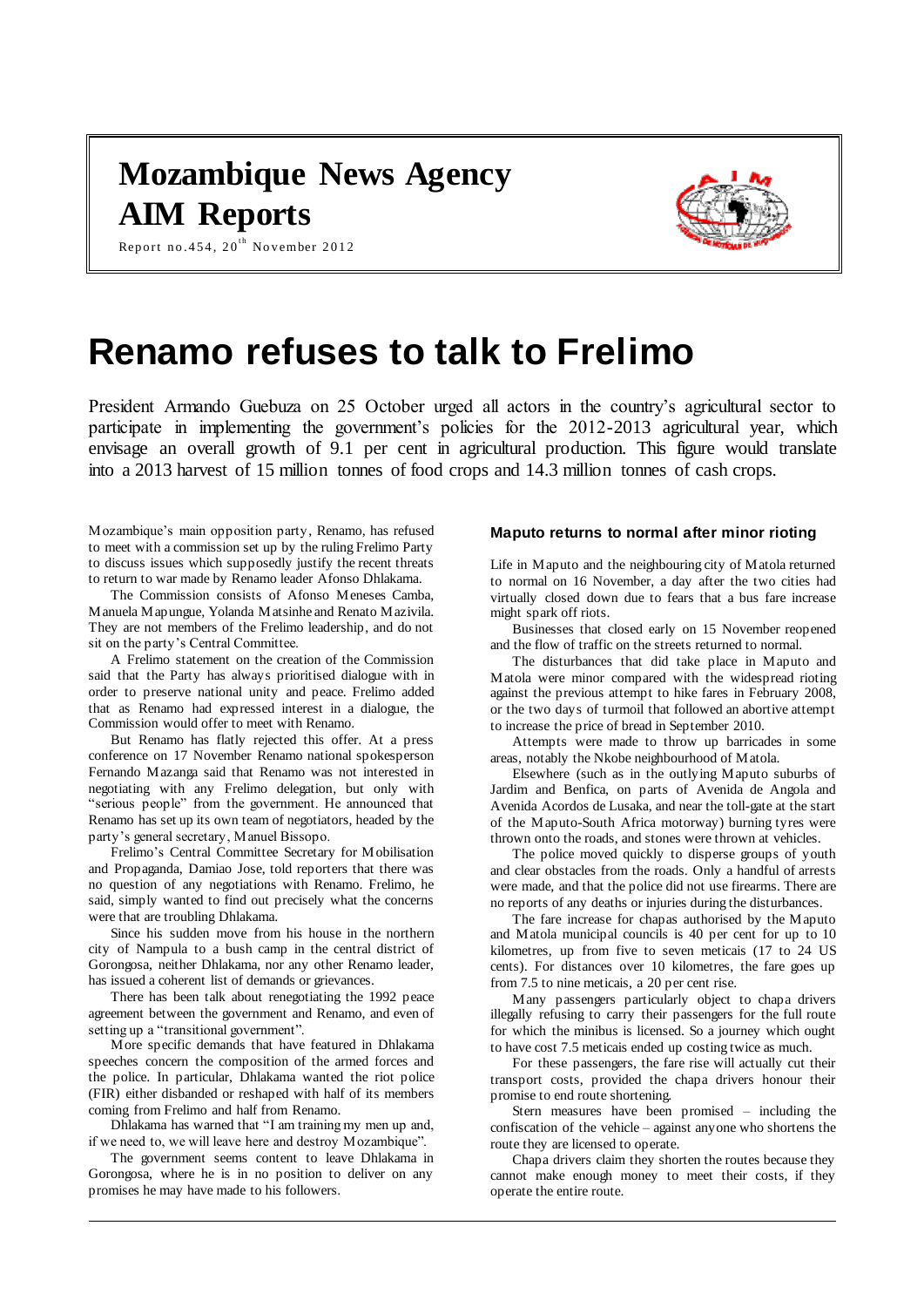# **Mozambique News Agency AIM Reports**



Report no. 454, 20 $^{\rm th}$  November 2012

# **Renamo refuses to talk to Frelimo**

President Armando Guebuza on 25 October urged all actors in the country's agricultural sector to participate in implementing the government's policies for the 2012-2013 agricultural year, which envisage an overall growth of 9.1 per cent in agricultural production. This figure would translate into a 2013 harvest of 15 million tonnes of food crops and 14.3 million tonnes of cash crops.

Mozambique's main opposition party, Renamo, has refused to meet with a commission set up by the ruling Frelimo Party to discuss issues which supposedly justify the recent threats to return to war made by Renamo leader Afonso Dhlakama.

The Commission consists of Afonso Meneses Camba, Manuela Mapungue, Yolanda Matsinhe and Renato Mazivila. They are not members of the Frelimo leadership, and do not sit on the party's Central Committee.

A Frelimo statement on the creation of the Commission said that the Party has always prioritised dialogue with in order to preserve national unity and peace. Frelimo added that as Renamo had expressed interest in a dialogue, the Commission would offer to meet with Renamo.

But Renamo has flatly rejected this offer. At a press conference on 17 November Renamo national spokesperson Fernando Mazanga said that Renamo was not interested in negotiating with any Frelimo delegation, but only with "serious people" from the government. He announced that Renamo has set up its own team of negotiators, headed by the party's general secretary, Manuel Bissopo.

Frelimo's Central Committee Secretary for Mobilisation and Propaganda, Damiao Jose, told reporters that there was no question of any negotiations with Renamo. Frelimo, he said, simply wanted to find out precisely what the concerns were that are troubling Dhlakama.

Since his sudden move from his house in the northern city of Nampula to a bush camp in the central district of Gorongosa, neither Dhlakama, nor any other Renamo leader, has issued a coherent list of demands or grievances.

There has been talk about renegotiating the 1992 peace agreement between the government and Renamo, and even of setting up a "transitional government".

More specific demands that have featured in Dhlakama speeches concern the composition of the armed forces and the police. In particular, Dhlakama wanted the riot police (FIR) either disbanded or reshaped with half of its members coming from Frelimo and half from Renamo.

Dhlakama has warned that "I am training my men up and, if we need to, we will leave here and destroy Mozambique".

The government seems content to leave Dhlakama in Gorongosa, where he is in no position to deliver on any promises he may have made to his followers.

#### **Maputo returns to normal after minor rioting**

Life in Maputo and the neighbouring city of Matola returned to normal on 16 November, a day after the two cities had virtually closed down due to fears that a bus fare increase might spark off riots.

Businesses that closed early on 15 November reopened and the flow of traffic on the streets returned to normal.

The disturbances that did take place in Maputo and Matola were minor compared with the widespread rioting against the previous attempt to hike fares in February 2008, or the two days of turmoil that followed an abortive attempt to increase the price of bread in September 2010.

Attempts were made to throw up barricades in some areas, notably the Nkobe neighbourhood of Matola.

Elsewhere (such as in the outlying Maputo suburbs of Jardim and Benfica, on parts of Avenida de Angola and Avenida Acordos de Lusaka, and near the toll-gate at the start of the Maputo-South Africa motorway) burning tyres were thrown onto the roads, and stones were thrown at vehicles.

The police moved quickly to disperse groups of youth and clear obstacles from the roads. Only a handful of arrests were made, and that the police did not use firearms. There are no reports of any deaths or injuries during the disturbances.

The fare increase for chapas authorised by the Maputo and Matola municipal councils is 40 per cent for up to 10 kilometres, up from five to seven meticais (17 to 24 US cents). For distances over 10 kilometres, the fare goes up from 7.5 to nine meticais, a 20 per cent rise.

Many passengers particularly object to chapa drivers illegally refusing to carry their passengers for the full route for which the minibus is licensed. So a journey which ought to have cost 7.5 meticais ended up costing twice as much.

For these passengers, the fare rise will actually cut their transport costs, provided the chapa drivers honour their promise to end route shortening.

Stern measures have been promised – including the confiscation of the vehicle – against anyone who shortens the route they are licensed to operate.

Chapa drivers claim they shorten the routes because they cannot make enough money to meet their costs, if they operate the entire route.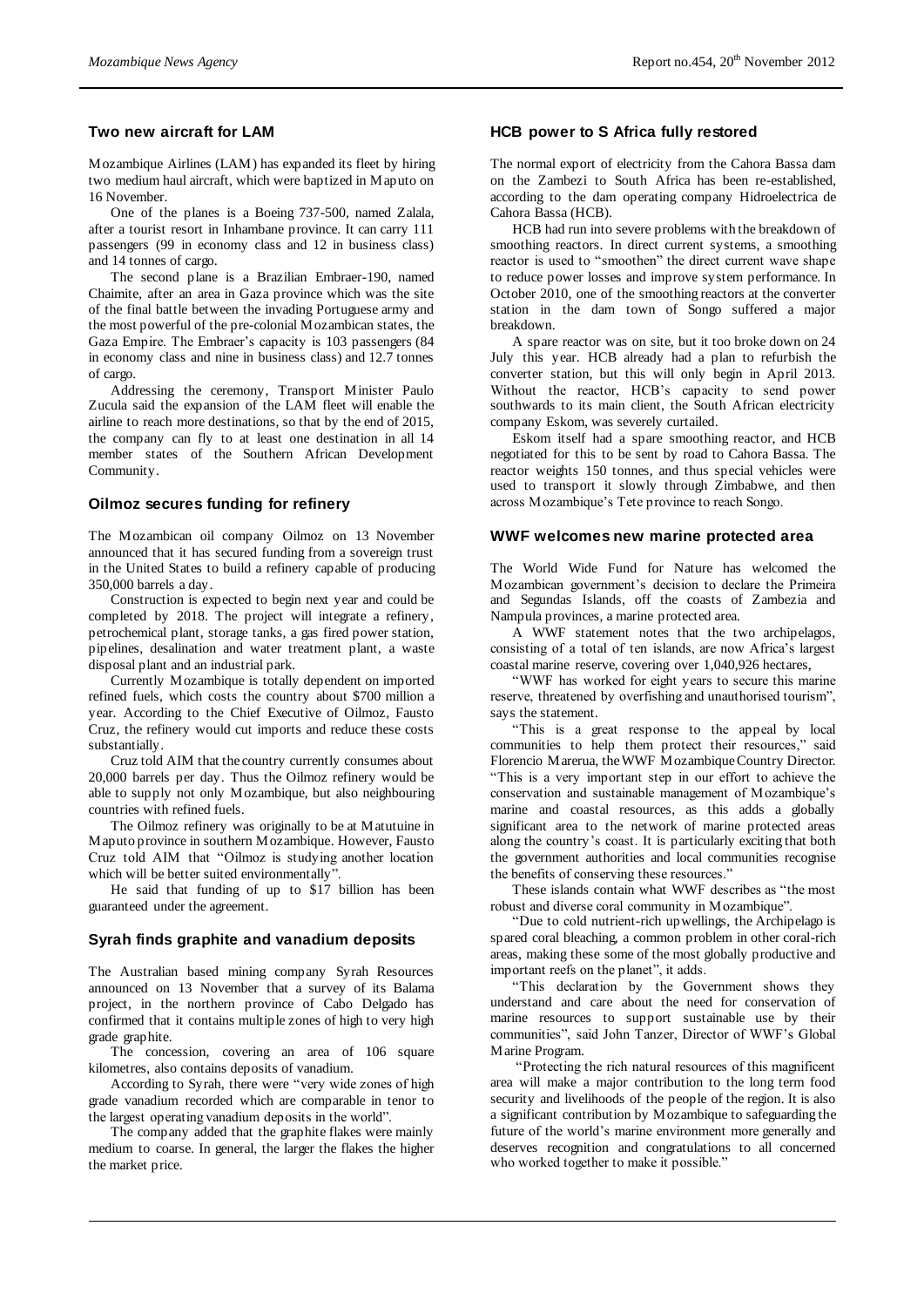# **Two new aircraft for LAM**

Mozambique Airlines (LAM) has expanded its fleet by hiring two medium haul aircraft, which were baptized in Maputo on 16 November.

One of the planes is a Boeing 737-500, named Zalala, after a tourist resort in Inhambane province. It can carry 111 passengers (99 in economy class and 12 in business class) and 14 tonnes of cargo.

The second plane is a Brazilian Embraer-190, named Chaimite, after an area in Gaza province which was the site of the final battle between the invading Portuguese army and the most powerful of the pre-colonial Mozambican states, the Gaza Empire. The Embraer's capacity is 103 passengers (84 in economy class and nine in business class) and 12.7 tonnes of cargo.

Addressing the ceremony, Transport Minister Paulo Zucula said the expansion of the LAM fleet will enable the airline to reach more destinations, so that by the end of 2015, the company can fly to at least one destination in all 14 member states of the Southern African Development Community.

#### **Oilmoz secures funding for refinery**

The Mozambican oil company Oilmoz on 13 November announced that it has secured funding from a sovereign trust in the United States to build a refinery capable of producing 350,000 barrels a day.

Construction is expected to begin next year and could be completed by 2018. The project will integrate a refinery, petrochemical plant, storage tanks, a gas fired power station, pipelines, desalination and water treatment plant, a waste disposal plant and an industrial park.

Currently Mozambique is totally dependent on imported refined fuels, which costs the country about \$700 million a year. According to the Chief Executive of Oilmoz, Fausto Cruz, the refinery would cut imports and reduce these costs substantially.

Cruz told AIM that the country currently consumes about 20,000 barrels per day. Thus the Oilmoz refinery would be able to supply not only Mozambique, but also neighbouring countries with refined fuels.

The Oilmoz refinery was originally to be at Matutuine in Maputo province in southern Mozambique. However, Fausto Cruz told AIM that "Oilmoz is studying another location which will be better suited environmentally"

He said that funding of up to \$17 billion has been guaranteed under the agreement.

#### **Syrah finds graphite and vanadium deposits**

The Australian based mining company Syrah Resources announced on 13 November that a survey of its Balama project, in the northern province of Cabo Delgado has confirmed that it contains multiple zones of high to very high grade graphite.

The concession, covering an area of 106 square kilometres, also contains deposits of vanadium.

According to Syrah, there were "very wide zones of high grade vanadium recorded which are comparable in tenor to the largest operating vanadium deposits in the world".

The company added that the graphite flakes were mainly medium to coarse. In general, the larger the flakes the higher the market price.

# **HCB power to S Africa fully restored**

The normal export of electricity from the Cahora Bassa dam on the Zambezi to South Africa has been re-established, according to the dam operating company Hidroelectrica de Cahora Bassa (HCB).

HCB had run into severe problems with the breakdown of smoothing reactors. In direct current systems, a smoothing reactor is used to "smoothen" the direct current wave shape to reduce power losses and improve system performance. In October 2010, one of the smoothing reactors at the converter station in the dam town of Songo suffered a major breakdown.

A spare reactor was on site, but it too broke down on 24 July this year. HCB already had a plan to refurbish the converter station, but this will only begin in April 2013. Without the reactor, HCB's capacity to send power southwards to its main client, the South African electricity company Eskom, was severely curtailed.

Eskom itself had a spare smoothing reactor, and HCB negotiated for this to be sent by road to Cahora Bassa. The reactor weights 150 tonnes, and thus special vehicles were used to transport it slowly through Zimbabwe, and then across Mozambique's Tete province to reach Songo.

### **WWF welcomes new marine protected area**

The World Wide Fund for Nature has welcomed the Mozambican government's decision to declare the Primeira and Segundas Islands, off the coasts of Zambezia and Nampula provinces, a marine protected area.

A WWF statement notes that the two archipelagos, consisting of a total of ten islands, are now Africa's largest coastal marine reserve, covering over 1,040,926 hectares,

"WWF has worked for eight years to secure this marine reserve, threatened by overfishing and unauthorised tourism", says the statement.

"This is a great response to the appeal by local communities to help them protect their resources," said Florencio Marerua, the WWF Mozambique Country Director. "This is a very important step in our effort to achieve the conservation and sustainable management of Mozambique's marine and coastal resources, as this adds a globally significant area to the network of marine protected areas along the country's coast. It is particularly exciting that both the government authorities and local communities recognise the benefits of conserving these resources."

These islands contain what WWF describes as "the most robust and diverse coral community in Mozambique".

"Due to cold nutrient-rich upwellings, the Archipelago is spared coral bleaching, a common problem in other coral-rich areas, making these some of the most globally productive and important reefs on the planet", it adds.

"This declaration by the Government shows they understand and care about the need for conservation of marine resources to support sustainable use by their communities", said John Tanzer, Director of WWF's Global Marine Program.

"Protecting the rich natural resources of this magnificent area will make a major contribution to the long term food security and livelihoods of the people of the region. It is also a significant contribution by Mozambique to safeguarding the future of the world's marine environment more generally and deserves recognition and congratulations to all concerned who worked together to make it possible."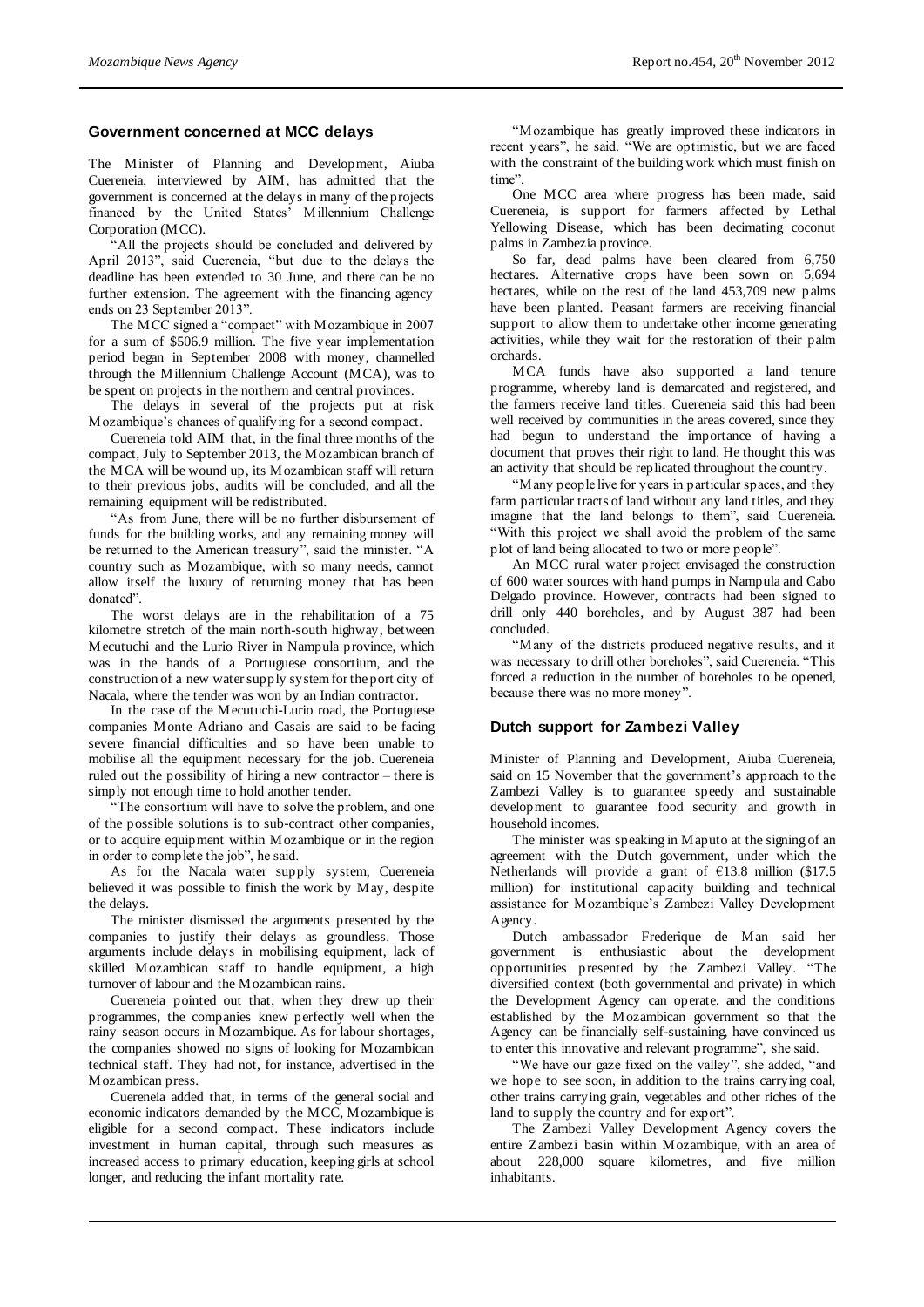# **Government concerned at MCC delays**

The Minister of Planning and Development, Aiuba Cuereneia, interviewed by AIM, has admitted that the government is concerned at the delays in many of the projects financed by the United States' Millennium Challenge Corporation (MCC).

All the projects should be concluded and delivered by April 2013", said Cuereneia, "but due to the delays the deadline has been extended to 30 June, and there can be no further extension. The agreement with the financing agency ends on 23 September 2013".

The MCC signed a "compact" with Mozambique in 2007 for a sum of \$506.9 million. The five year implementation period began in September 2008 with money, channelled through the Millennium Challenge Account (MCA), was to be spent on projects in the northern and central provinces.

The delays in several of the projects put at risk Mozambique's chances of qualifying for a second compact.

Cuereneia told AIM that, in the final three months of the compact, July to September 2013, the Mozambican branch of the MCA will be wound up, its Mozambican staff will return to their previous jobs, audits will be concluded, and all the remaining equipment will be redistributed.

"As from June, there will be no further disbursement of funds for the building works, and any remaining money will be returned to the American treasury", said the minister. "A country such as Mozambique, with so many needs, cannot allow itself the luxury of returning money that has been donated".

The worst delays are in the rehabilitation of a 75 kilometre stretch of the main north-south highway, between Mecutuchi and the Lurio River in Nampula province, which was in the hands of a Portuguese consortium, and the construction of a new water supply system for the port city of Nacala, where the tender was won by an Indian contractor.

In the case of the Mecutuchi-Lurio road, the Portuguese companies Monte Adriano and Casais are said to be facing severe financial difficulties and so have been unable to mobilise all the equipment necessary for the job. Cuereneia ruled out the possibility of hiring a new contractor – there is simply not enough time to hold another tender.

"The consortium will have to solve the problem, and one of the possible solutions is to sub-contract other companies, or to acquire equipment within Mozambique or in the region in order to complete the job", he said.

As for the Nacala water supply system, Cuereneia believed it was possible to finish the work by May, despite the delays.

The minister dismissed the arguments presented by the companies to justify their delays as groundless. Those arguments include delays in mobilising equipment, lack of skilled Mozambican staff to handle equipment, a high turnover of labour and the Mozambican rains.

Cuereneia pointed out that, when they drew up their programmes, the companies knew perfectly well when the rainy season occurs in Mozambique. As for labour shortages, the companies showed no signs of looking for Mozambican technical staff. They had not, for instance, advertised in the Mozambican press.

Cuereneia added that, in terms of the general social and economic indicators demanded by the MCC, Mozambique is eligible for a second compact. These indicators include investment in human capital, through such measures as increased access to primary education, keeping girls at school longer, and reducing the infant mortality rate.

"Mozambique has greatly improved these indicators in recent years", he said. "We are optimistic, but we are faced with the constraint of the building work which must finish on time".

One MCC area where progress has been made, said Cuereneia, is support for farmers affected by Lethal Yellowing Disease, which has been decimating coconut palms in Zambezia province.

So far, dead palms have been cleared from 6,750 hectares. Alternative crops have been sown on 5,694 hectares, while on the rest of the land 453,709 new palms have been planted. Peasant farmers are receiving financial support to allow them to undertake other income generating activities, while they wait for the restoration of their palm orchards.

MCA funds have also supported a land tenure programme, whereby land is demarcated and registered, and the farmers receive land titles. Cuereneia said this had been well received by communities in the areas covered, since they had begun to understand the importance of having a document that proves their right to land. He thought this was an activity that should be replicated throughout the country.

"Many people live for years in particular spaces, and they farm particular tracts of land without any land titles, and they imagine that the land belongs to them", said Cuereneia. "With this project we shall avoid the problem of the same plot of land being allocated to two or more people".

An MCC rural water project envisaged the construction of 600 water sources with hand pumps in Nampula and Cabo Delgado province. However, contracts had been signed to drill only 440 boreholes, and by August 387 had been concluded.

"Many of the districts produced negative results, and it was necessary to drill other boreholes", said Cuereneia. "This forced a reduction in the number of boreholes to be opened, because there was no more money".

### **Dutch support for Zambezi Valley**

Minister of Planning and Development, Aiuba Cuereneia, said on 15 November that the government's approach to the Zambezi Valley is to guarantee speedy and sustainable development to guarantee food security and growth in household incomes.

The minister was speaking in Maputo at the signing of an agreement with the Dutch government, under which the Netherlands will provide a grant of €13.8 million (\$17.5 million) for institutional capacity building and technical assistance for Mozambique's Zambezi Valley Development Agency.

Dutch ambassador Frederique de Man said her government is enthusiastic about the development opportunities presented by the Zambezi Valley. "The diversified context (both governmental and private) in which the Development Agency can operate, and the conditions established by the Mozambican government so that the Agency can be financially self-sustaining, have convinced us to enter this innovative and relevant programme", she said.

"We have our gaze fixed on the valley", she added, "and we hope to see soon, in addition to the trains carrying coal, other trains carrying grain, vegetables and other riches of the land to supply the country and for export".

The Zambezi Valley Development Agency covers the entire Zambezi basin within Mozambique, with an area of about 228,000 square kilometres, and five million inhabitants.